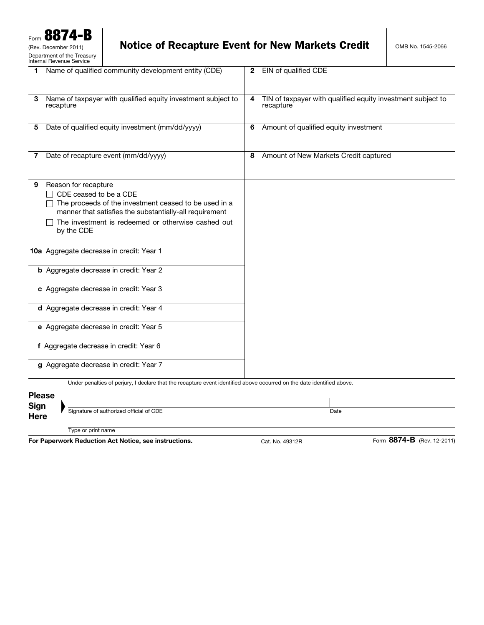# Notice of Recapture Event for New Markets Credit | OMB No. 1545-2066

| 1 Name of qualified community development entity (CDE)                                                                                                                                                                                      | 2 EIN of qualified CDE                                                        |
|---------------------------------------------------------------------------------------------------------------------------------------------------------------------------------------------------------------------------------------------|-------------------------------------------------------------------------------|
|                                                                                                                                                                                                                                             |                                                                               |
| Name of taxpayer with qualified equity investment subject to<br>3<br>recapture                                                                                                                                                              | TIN of taxpayer with qualified equity investment subject to<br>4<br>recapture |
| Date of qualified equity investment (mm/dd/yyyy)<br>5                                                                                                                                                                                       | Amount of qualified equity investment<br>6                                    |
| Date of recapture event (mm/dd/yyyy)<br>7                                                                                                                                                                                                   | Amount of New Markets Credit captured<br>8                                    |
| Reason for recapture<br>9<br>CDE ceased to be a CDE<br>The proceeds of the investment ceased to be used in a<br>manner that satisfies the substantially-all requirement<br>The investment is redeemed or otherwise cashed out<br>by the CDE |                                                                               |
| 10a Aggregate decrease in credit: Year 1                                                                                                                                                                                                    |                                                                               |
| <b>b</b> Aggregate decrease in credit: Year 2                                                                                                                                                                                               |                                                                               |
| c Aggregate decrease in credit: Year 3                                                                                                                                                                                                      |                                                                               |
| d Aggregate decrease in credit: Year 4                                                                                                                                                                                                      |                                                                               |
| e Aggregate decrease in credit: Year 5                                                                                                                                                                                                      |                                                                               |
| f Aggregate decrease in credit: Year 6                                                                                                                                                                                                      |                                                                               |
| g Aggregate decrease in credit: Year 7                                                                                                                                                                                                      |                                                                               |
| Under penalties of perjury, I declare that the recapture event identified above occurred on the date identified above.                                                                                                                      |                                                                               |
| <b>Please</b><br>Sign                                                                                                                                                                                                                       |                                                                               |
| Signature of authorized official of CDE<br><b>Here</b>                                                                                                                                                                                      | Date                                                                          |
| Type or print name                                                                                                                                                                                                                          | 0071 B                                                                        |

**For Paperwork Reduction Act Notice, see instructions.** Cat. No. 49312R Form 8874-B (Rev. 12-2011)